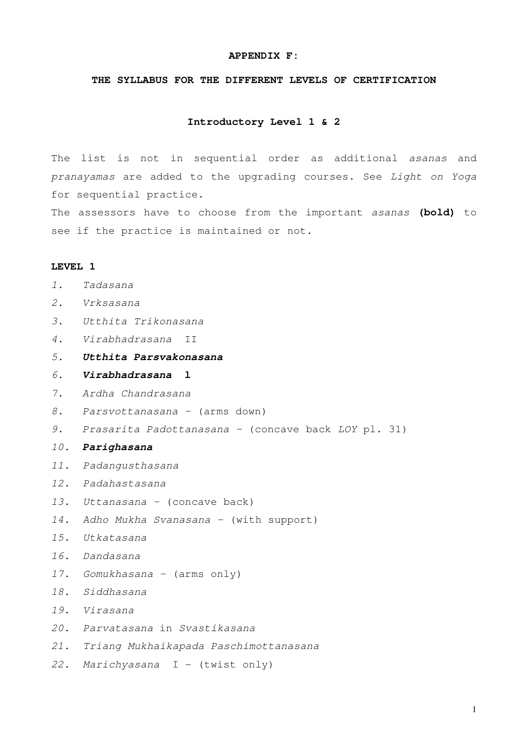#### **APPENDIX F:**

### **THE SYLLABUS FOR THE DIFFERENT LEVELS OF CERTIFICATION**

# **Introductory Level 1 & 2**

The list is not in sequential order as additional asanas and pranayamas are added to the upgrading courses. See Light on Yoga for sequential practice.

The assessors have to choose from the important asanas **(bold)** to see if the practice is maintained or not.

- 1. Tadasana
- 2. Vrksasana
- 3. Utthita Trikonasana
- 4. Virabhadrasana II
- 5. **Utthita Parsvakonasana**
- 6. **Virabhadrasana l**
- 7. Ardha Chandrasana
- 8. Parsvottanasana (arms down)
- 9. Prasarita Padottanasana (concave back LOY pl. 31)
- 10. **Parighasana**
- 11. Padangusthasana
- 12. Padahastasana
- 13. Uttanasana (concave back)
- 14. Adho Mukha Svanasana (with support)
- 15. Utkatasana
- 16. Dandasana
- 17. Gomukhasana (arms only)
- 18. Siddhasana
- 19. Virasana
- 20. Parvatasana in Svastikasana
- 21. Triang Mukhaikapada Paschimottanasana
- 22. Marichyasana  $I -$  (twist only)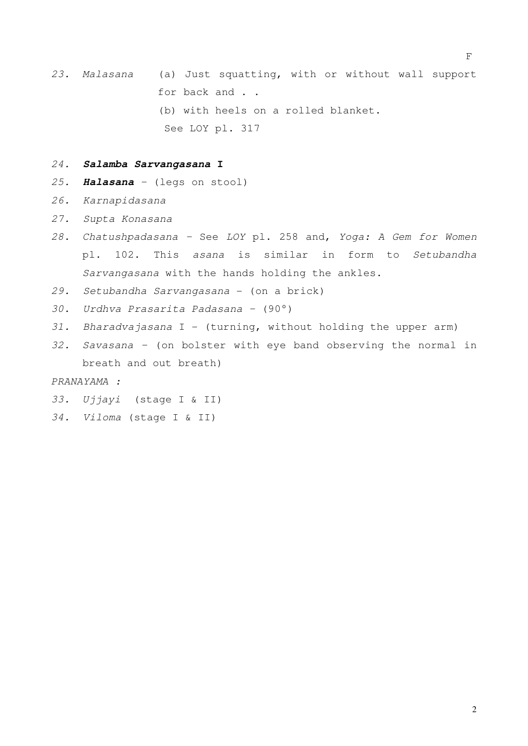- 24. **Salamba Sarvangasana I**
- 25. **Halasana**  (legs on stool)
- 26. Karnapidasana
- 27. Supta Konasana
- 28. Chatushpadasana See LOY pl. 258 and, Yoga: A Gem for Women pl. 102. This asana is similar in form to Setubandha Sarvangasana with the hands holding the ankles.
- 29. Setubandha Sarvangasana (on a brick)
- 30. Urdhva Prasarita Padasana (90°)
- 31. Bharadvajasana I (turning, without holding the upper arm)
- $32.$  Savasana (on bolster with eye band observing the normal in breath and out breath)

# PRANAYAMA :

- 33. Ujjayi (stage I & II)
- 34. Viloma (stage I & II)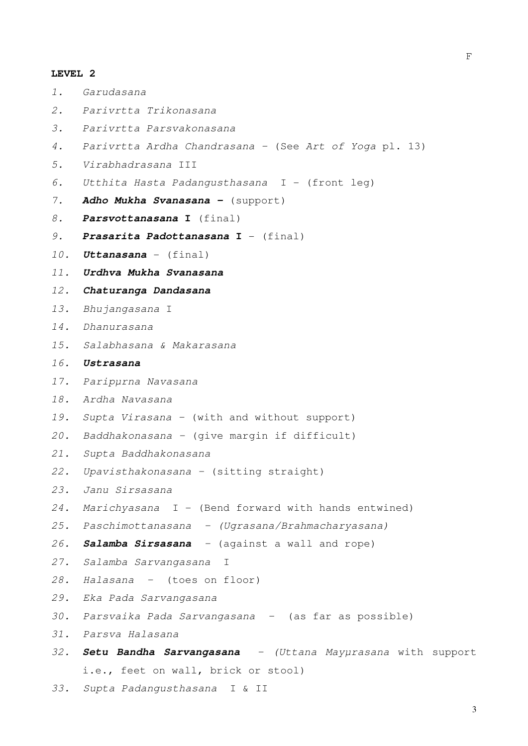- 1. Garudasana
- 2. Parivrtta Trikonasana
- 3. Parivrtta Parsvakonasana
- 4. Parivrtta Ardha Chandrasana (See Art of Yoga pl. 13)
- 5. Virabhadrasana III
- 6. Utthita Hasta Padangusthasana I (front leg)
- 7. **Adho Mukha Svanasana -** (support)
- 8. **Parsvottanasana I** (final)
- 9. **Prasarita Padottanasana I**  (final)
- 10. **Uttanasana**  (final)
- 11. **Urdhva Mukha Svanasana**
- 12. **Chaturanga Dandasana**
- 13. Bhujangasana I
- 14. Dhanurasana
- 15. Salabhasana & Makarasana
- 16. **Ustrasana**
- 17. Paripµrna Navasana
- 18. Ardha Navasana
- 19. Supta Virasana (with and without support)
- $20.$  Baddhakonasana (give margin if difficult)
- 21. Supta Baddhakonasana
- 22. Upavisthakonasana (sitting straight)
- 23. Janu Sirsasana
- $24.$  Marichyasana I (Bend forward with hands entwined)
- 25. Paschimottanasana (Ugrasana/Brahmacharyasana)
- 26. **Salamba Sirsasana**  (against a wall and rope)
- 27. Salamba Sarvangasana I
- 28. Halasana (toes on floor)
- 29. Eka Pada Sarvangasana
- 30. Parsvaika Pada Sarvangasana (as far as possible)
- 31. Parsva Halasana
- 32. **Setu Bandha Sarvangasana** (Uttana Mayurasana with support i.e., feet on wall, brick or stool)
- 33. Supta Padangusthasana I & II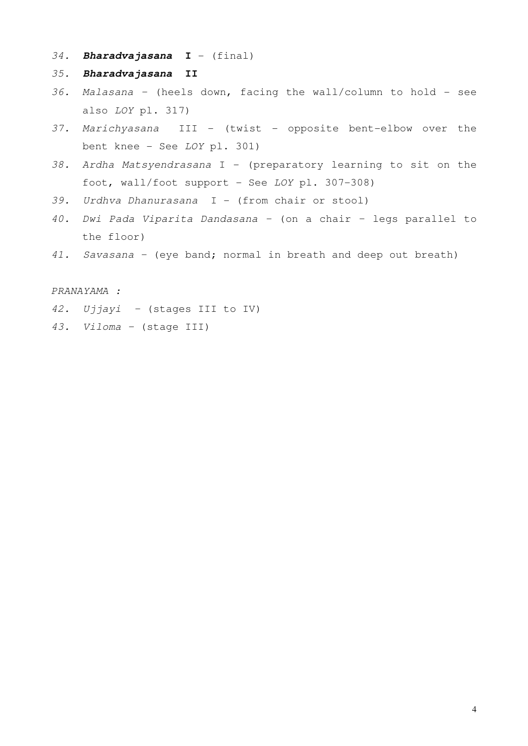- 34. **Bharadvajasana I**  (final)
- 35. **Bharadvajasana II**
- 36. Malasana (heels down, facing the wall/column to hold see also LOY pl. 317)
- 37. Marichyasana III (twist opposite bent-elbow over the bent knee - See LOY pl. 301)
- $38.$  Ardha Matsyendrasana I (preparatory learning to sit on the foot, wall/foot support - See LOY pl. 307-308)
- 39. Urdhva Dhanurasana  $I (from chair or stood)$
- 40. Dwi Pada Viparita Dandasana (on a chair legs parallel to the floor)
- 41. Savasana (eye band; normal in breath and deep out breath)

PRANAYAMA :

- 42. Ujjayi (stages III to IV)
- 43. Viloma (stage III)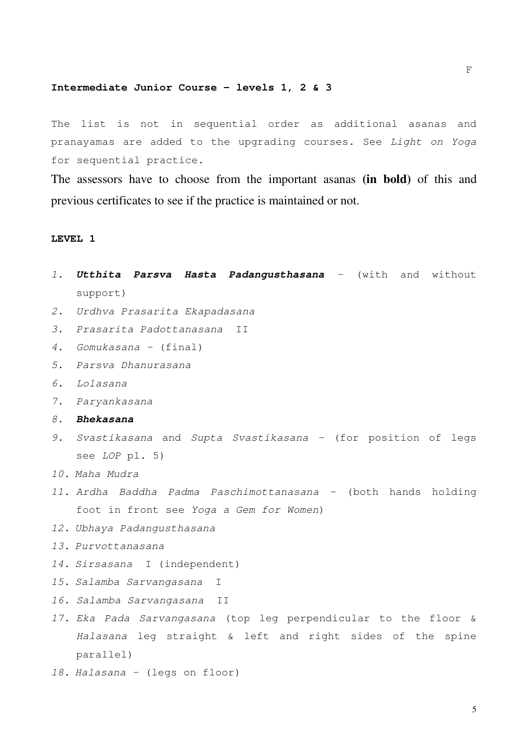#### **Intermediate Junior Course - levels 1, 2 & 3**

The list is not in sequential order as additional asanas and pranayamas are added to the upgrading courses. See Light on Yoga for sequential practice.

The assessors have to choose from the important asanas **(in bold)** of this and previous certificates to see if the practice is maintained or not.

- 1. **Utthita Parsva Hasta Padangusthasana** (with and without support)
- 2. Urdhva Prasarita Ekapadasana
- 3. Prasarita Padottanasana II
- 4. Gomukasana (final)
- 5. Parsva Dhanurasana
- 6. Lolasana
- 7. Paryankasana
- 8. **Bhekasana**
- 9. Svastikasana and Supta Svastikasana (for position of legs see LOP pl. 5)
- 10. Maha Mudra
- 11. Ardha Baddha Padma Paschimottanasana (both hands holding foot in front see Yoga a Gem for Women)
- 12. Ubhaya Padangusthasana
- 13. Purvottanasana
- 14. Sirsasana I (independent)
- 15. Salamba Sarvangasana I
- 16. Salamba Sarvangasana II
- 17. Eka Pada Sarvangasana (top leg perpendicular to the floor & Halasana leg straight & left and right sides of the spine parallel)
- 18. Halasana (legs on floor)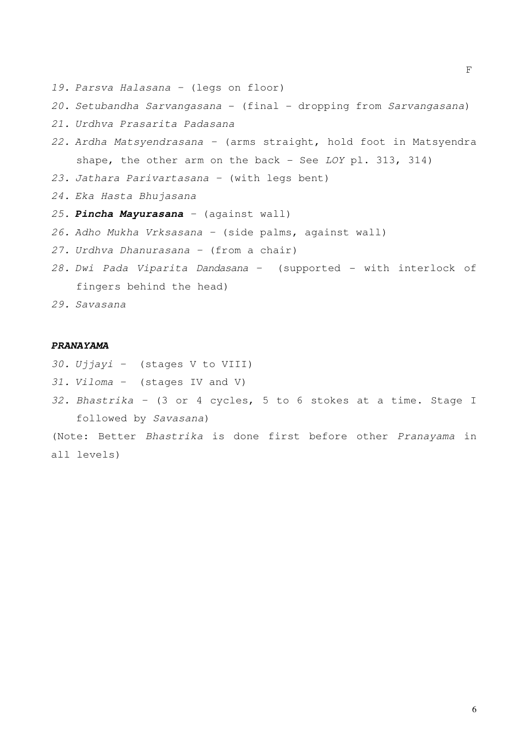- 19. Parsva Halasana (legs on floor)
	- 20. Setubandha Sarvangasana (final dropping from Sarvangasana)
	- 21. Urdhva Prasarita Padasana
	- 22. Ardha Matsyendrasana (arms straight, hold foot in Matsyendra shape, the other arm on the back - See  $LOY$  pl. 313, 314)
	- 23. Jathara Parivartasana (with legs bent)
	- 24. Eka Hasta Bhujasana
	- 25. **Pincha Mayurasana** (against wall)
	- $26.$  Adho Mukha Vrksasana (side palms, against wall)
	- 27. Urdhva Dhanurasana (from a chair)
	- 28. Dwi Pada Viparita Dandasana (supported with interlock of fingers behind the head)

29. Savasana

### **PRANAYAMA**

- 30. Ujjayi (stages V to VIII)
- 31. Viloma (stages IV and V)
- 32. Bhastrika (3 or 4 cycles, 5 to 6 stokes at a time. Stage I followed by Savasana)

(Note: Better Bhastrika is done first before other Pranayama in all levels)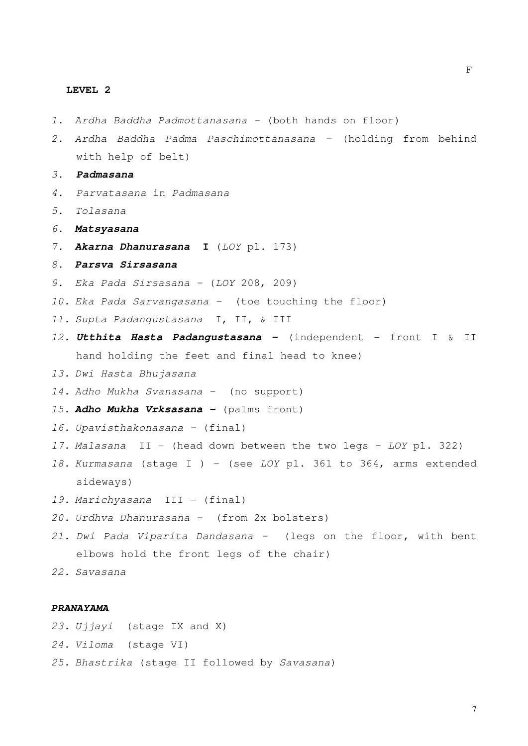- 1. Ardha Baddha Padmottanasana (both hands on floor)
- 2. Ardha Baddha Padma Paschimottanasana (holding from behind with help of belt)
- 3. **Padmasana**
- 4. Parvatasana in Padmasana
- 5. Tolasana
- 6. **Matsyasana**
- 7. **Akarna Dhanurasana I** (LOY pl. 173)
- 8. **Parsva Sirsasana**
- 9. Eka Pada Sirsasana (LOY 208, 209)
- 10. Eka Pada Sarvangasana (toe touching the floor)
- 11. Supta Padangustasana I, II, & III
- 12. **Utthita Hasta Padangustasana** (independent front I & II hand holding the feet and final head to knee)
- 13. Dwi Hasta Bhujasana
- 14. Adho Mukha Svanasana (no support)
- 15. **Adho Mukha Vrksasana** (palms front)
- 16. Upavisthakonasana (final)
- 17. Malasana II (head down between the two legs  $LOY$  pl. 322)
- 18. Kurmasana (stage I ) (see LOY pl. 361 to 364, arms extended sideways)
- 19. Marichyasana III (final)
- 20. Urdhva Dhanurasana (from 2x bolsters)
- 21. Dwi Pada Viparita Dandasana (legs on the floor, with bent elbows hold the front legs of the chair)
- 22. Savasana

- 23. Ujjayi (stage IX and X)
- 24. Viloma (stage VI)
- 25. Bhastrika (stage II followed by Savasana)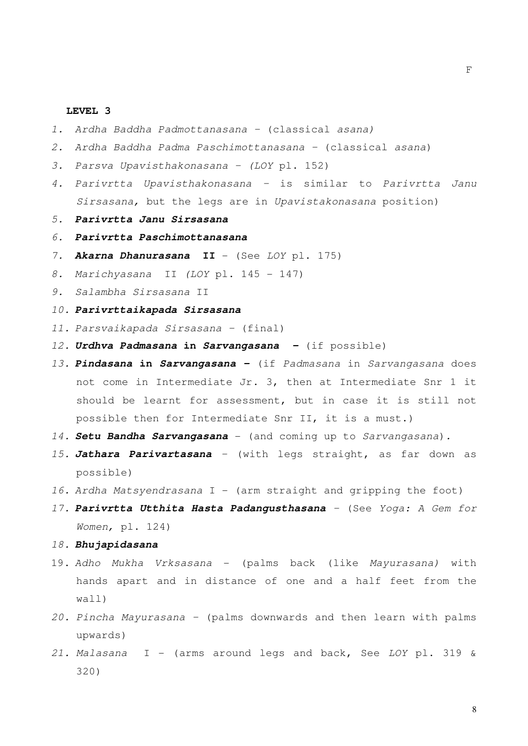- 1. Ardha Baddha Padmottanasana (classical asana)
- 2. Ardha Baddha Padma Paschimottanasana (classical asana)
- 3. Parsva Upavisthakonasana (LOY pl. 152)
- 4. Parivrtta Upavisthakonasana is similar to Parivrtta Janu Sirsasana, but the legs are in Upavistakonasana position)
- 5. **Parivrtta Janu Sirsasana**
- 6. **Parivrtta Paschimottanasana**
- 7. **Akarna Dhanurasana II** (See LOY pl. 175)
- 8. Marichyasana II (LOY pl. 145 147)
- 9. Salambha Sirsasana II
- 10. **Parivrttaikapada Sirsasana**
- 11. Parsvaikapada Sirsasana (final)
- 12. **Urdhva Padmasana in Sarvangasana** (if possible)
- 13. **Pindasana in Sarvangasana** (if Padmasana in Sarvangasana does not come in Intermediate Jr. 3, then at Intermediate Snr 1 it should be learnt for assessment, but in case it is still not possible then for Intermediate Snr II, it is a must.)
- 14. **Setu Bandha Sarvangasana** (and coming up to Sarvangasana).
- 15. **Jathara Parivartasana**  (with legs straight, as far down as possible)
- 16. Ardha Matsyendrasana I (arm straight and gripping the foot)
- 17. Parivrtta Utthita Hasta Padangusthasana (See Yoga: A Gem for Women, pl. 124)
- 18. **Bhujapidasana**
- 19. Adho Mukha Vrksasana (palms back (like Mayurasana) with hands apart and in distance of one and a half feet from the wall)
- 20. Pincha Mayurasana (palms downwards and then learn with palms upwards)
- 21. Malasana  $I -$  (arms around legs and back, See LOY pl. 319 & 320)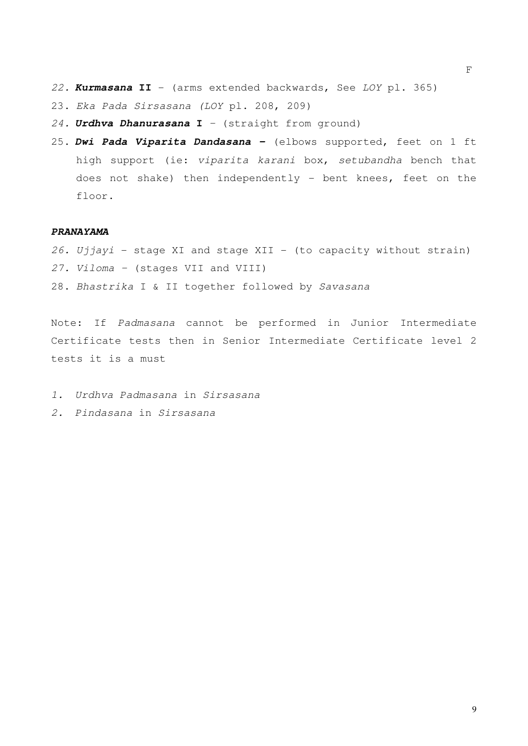22. **Kurmasana II** - (arms extended backwards, See LOY pl. 365)

23. Eka Pada Sirsasana (LOY pl. 208, 209)

- 24. **Urdhva Dhanurasana I** (straight from ground)
- 25. **Dwi Pada Viparita Dandasana** (elbows supported, feet on 1 ft high support (ie: viparita karani box, setubandha bench that does not shake) then independently - bent knees, feet on the floor.

# **PRANAYAMA**

26. Ujjayi - stage XI and stage XII - (to capacity without strain) 27. Viloma - (stages VII and VIII)

28. Bhastrika I & II together followed by Savasana

Note: If Padmasana cannot be performed in Junior Intermediate Certificate tests then in Senior Intermediate Certificate level 2 tests it is a must

- 1. Urdhva Padmasana in Sirsasana
- 2. Pindasana in Sirsasana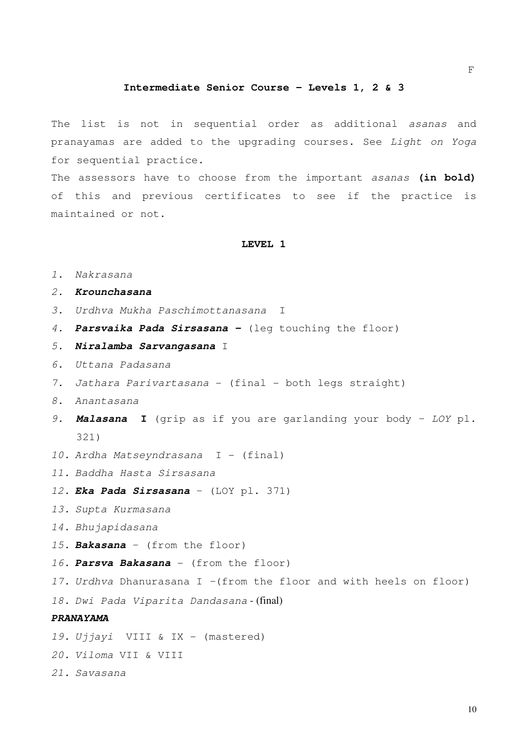#### **Intermediate Senior Course - Levels 1, 2 & 3**

F

The list is not in sequential order as additional asanas and pranayamas are added to the upgrading courses. See Light on Yoga for sequential practice.

The assessors have to choose from the important asanas **(in bold)**  of this and previous certificates to see if the practice is maintained or not.

#### **LEVEL 1**

- 1. Nakrasana
- 2. **Krounchasana**
- 3. Urdhva Mukha Paschimottanasana I
- 4. **Parsvaika Pada Sirsasana** (leg touching the floor)
- 5. **Niralamba Sarvangasana** I
- 6. Uttana Padasana
- 7. Jathara Parivartasana (final both legs straight)
- 8. Anantasana
- 9. **Malasana I** (grip as if you are garlanding your body LOY pl. 321)
- 10. Ardha Matseyndrasana I (final)
- 11. Baddha Hasta Sirsasana
- 12. **Eka Pada Sirsasana** (LOY pl. 371)
- 13. Supta Kurmasana
- 14. Bhujapidasana
- 15. **Bakasana**  (from the floor)
- 16. **Parsva Bakasana**  (from the floor)
- 17. Urdhva Dhanurasana I -(from the floor and with heels on floor)
- 18. Dwi Pada Viparita Dandasana (final)

## **PRANAYAMA**

19. Ujjayi VIII & IX - (mastered)

- 20. Viloma VII & VIII
- 21. Savasana

10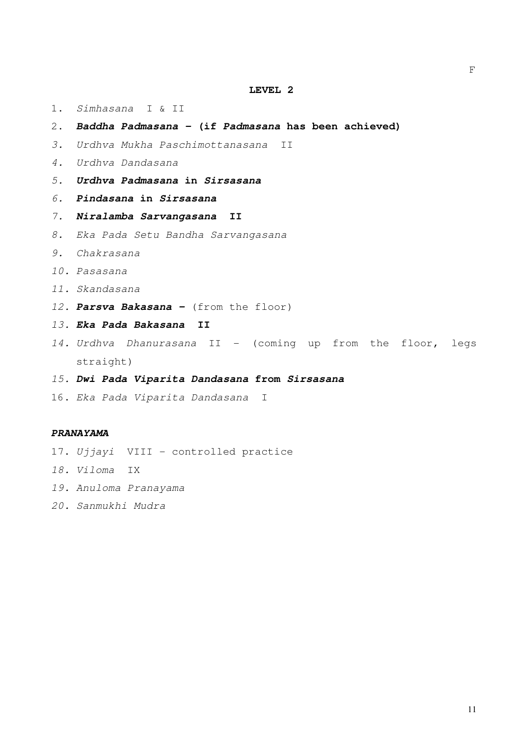- 1. Simhasana I & II
- 2. **Baddha Padmasana (if Padmasana has been achieved)**
- 3. Urdhva Mukha Paschimottanasana II
- 4. Urdhva Dandasana
- 5. **Urdhva Padmasana in Sirsasana**
- 6. **Pindasana in Sirsasana**
- 7. **Niralamba Sarvangasana II**
- 8. Eka Pada Setu Bandha Sarvangasana
- 9. Chakrasana
- 10. Pasasana
- 11. Skandasana
- 12. **Parsva Bakasana** (from the floor)
- 13. **Eka Pada Bakasana II**
- 14. Urdhva Dhanurasana II (coming up from the floor, legs straight)
- 15. **Dwi Pada Viparita Dandasana from Sirsasana**
- 16. Eka Pada Viparita Dandasana I

- 17. Ujjayi VIII controlled practice
- 18. Viloma IX
- 19. Anuloma Pranayama
- 20. Sanmukhi Mudra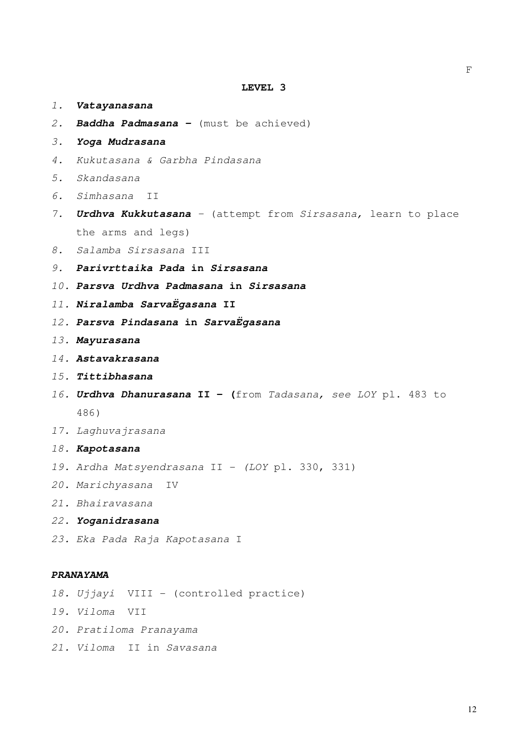- 1. **Vatayanasana**
- 2. **Baddha Padmasana -** (must be achieved)
- 3. **Yoga Mudrasana**
- 4. Kukutasana & Garbha Pindasana
- 5. Skandasana
- 6. Simhasana II
- 7. **Urdhva Kukkutasana** (attempt from Sirsasana, learn to place the arms and legs)
- 8. Salamba Sirsasana III
- 9. **Parivrttaika Pada in Sirsasana**
- 10. **Parsva Urdhva Padmasana in Sirsasana**
- 11. **Niralamba SarvaËgasana II**
- 12. **Parsva Pindasana in SarvaËgasana**
- 13. **Mayurasana**
- 14. **Astavakrasana**
- 15. **Tittibhasana**
- 16. **Urdhva Dhanurasana II (**from Tadasana, see LOY pl. 483 to 486)
- 17. Laghuvajrasana
- 18. **Kapotasana**
- 19. Ardha Matsyendrasana II (LOY pl. 330, 331)
- 20. Marichyasana IV
- 21. Bhairavasana
- 22. **Yoganidrasana**
- 23. Eka Pada Raja Kapotasana I

- 18. Ujjayi VIII (controlled practice)
- 19. Viloma VII
- 20. Pratiloma Pranayama
- 21. Viloma II in Savasana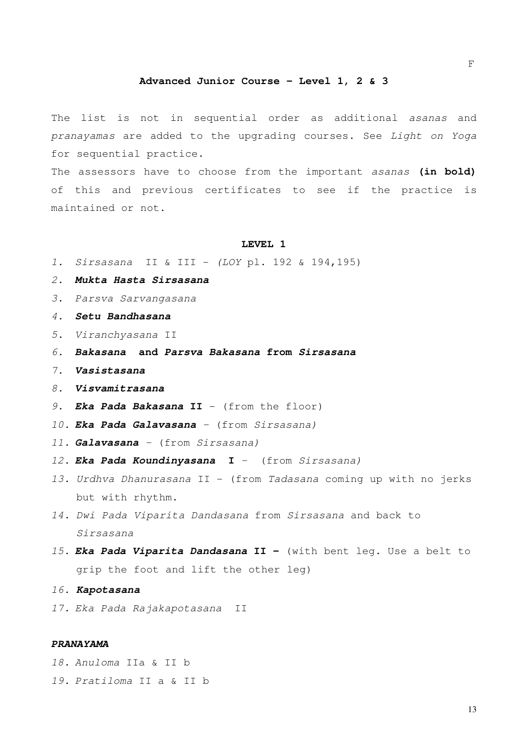#### **Advanced Junior Course - Level 1, 2 & 3**

The list is not in sequential order as additional asanas and pranayamas are added to the upgrading courses. See Light on Yoga for sequential practice.

The assessors have to choose from the important asanas **(in bold)**  of this and previous certificates to see if the practice is maintained or not.

#### **LEVEL 1**

- 1. Sirsasana II & III (LOY pl. 192 & 194,195)
- 2. **Mukta Hasta Sirsasana**
- 3. Parsva Sarvangasana
- 4. **Setu Bandhasana**
- 5. Viranchyasana II
- 6. **Bakasana and Parsva Bakasana from Sirsasana**
- 7. **Vasistasana**
- 8. **Visvamitrasana**
- 9. Eka Pada Bakasana II (from the floor)
- 10. **Eka Pada Galavasana**  (from Sirsasana)
- 11. **Galavasana**  (from Sirsasana)
- 12. **Eka Pada Koundinyasana I** (from Sirsasana)
- 13. Urdhva Dhanurasana II (from Tadasana coming up with no jerks but with rhythm.
- 14. Dwi Pada Viparita Dandasana from Sirsasana and back to Sirsasana
- 15. **Eka Pada Viparita Dandasana II** (with bent leg. Use a belt to grip the foot and lift the other leg)

16. **Kapotasana** 

17. Eka Pada Rajakapotasana II

- 18. Anuloma IIa & II b
- 19. Pratiloma II a & II b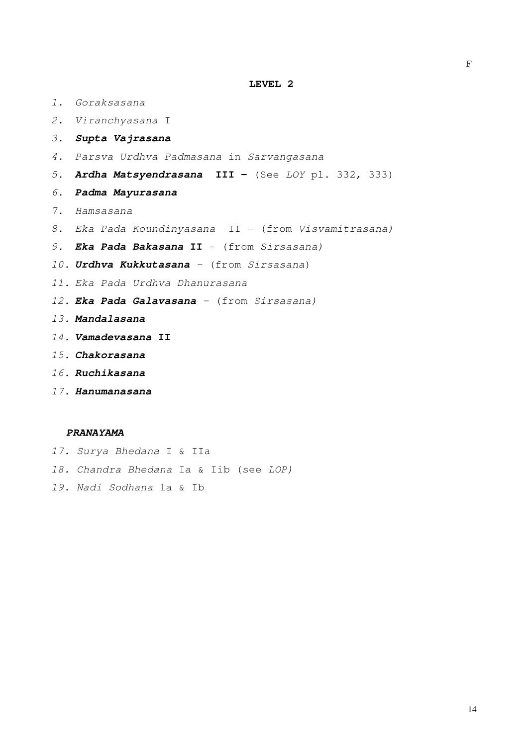- 1. Goraksasana
- 2. Viranchyasana I
- 3. **Supta Vajrasana**
- 4. Parsva Urdhva Padmasana in Sarvangasana
- 5. **Ardha Matsyendrasana III** (See LOY pl. 332, 333)
- 6. **Padma Mayurasana**
- 7. Hamsasana
- 8. Eka Pada Koundinyasana II (from Visvamitrasana)
- 9. Eka Pada Bakasana II (from Sirsasana)
- 10. **Urdhva Kukkutasana** (from Sirsasana)
- 11. Eka Pada Urdhva Dhanurasana
- 12. **Eka Pada Galavasana** (from Sirsasana)
- 13. **Mandalasana**
- 14. **Vamadevasana II**
- 15. **Chakorasana**
- 16. **Ruchikasana**
- 17. **Hanumanasana**

- 17. Surya Bhedana I & IIa
- 18. Chandra Bhedana Ia & Iib (see LOP)
- 19. Nadi Sodhana la & Ib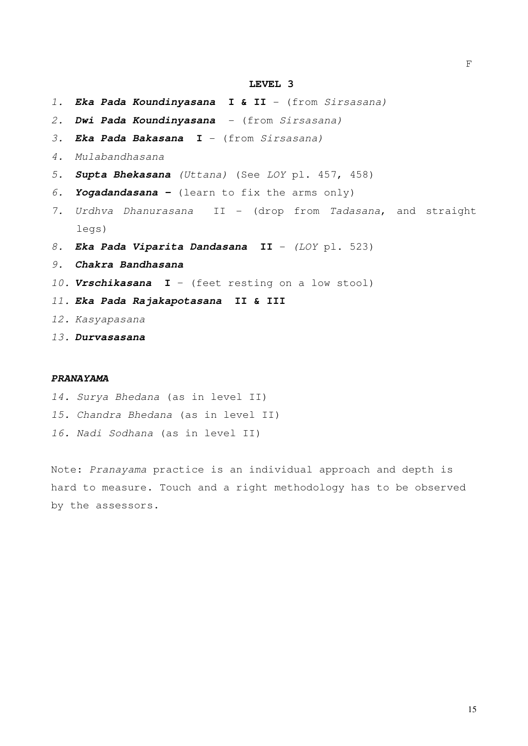- 1. **Eka Pada Koundinyasana I & II**  (from Sirsasana)
- 2. **Dwi Pada Koundinyasana**  (from Sirsasana)
- 3. **Eka Pada Bakasana I**  (from Sirsasana)
- 4. Mulabandhasana
- 5. **Supta Bhekasana** (Uttana) (See LOY pl. 457, 458)
- 6. **Yogadandasana** (learn to fix the arms only)
- 7. Urdhva Dhanurasana II (drop from Tadasana, and straight legs)
- 8. Eka Pada Viparita Dandasana II (LOY pl. 523)
- 9. **Chakra Bandhasana**
- 10. **Vrschikasana I**  (feet resting on a low stool)
- 11. **Eka Pada Rajakapotasana II & III**
- 12. Kasyapasana
- 13. **Durvasasana**

#### **PRANAYAMA**

- 14. Surya Bhedana (as in level II)
- 15. Chandra Bhedana (as in level II)
- 16. Nadi Sodhana (as in level II)

Note: Pranayama practice is an individual approach and depth is hard to measure. Touch and a right methodology has to be observed by the assessors.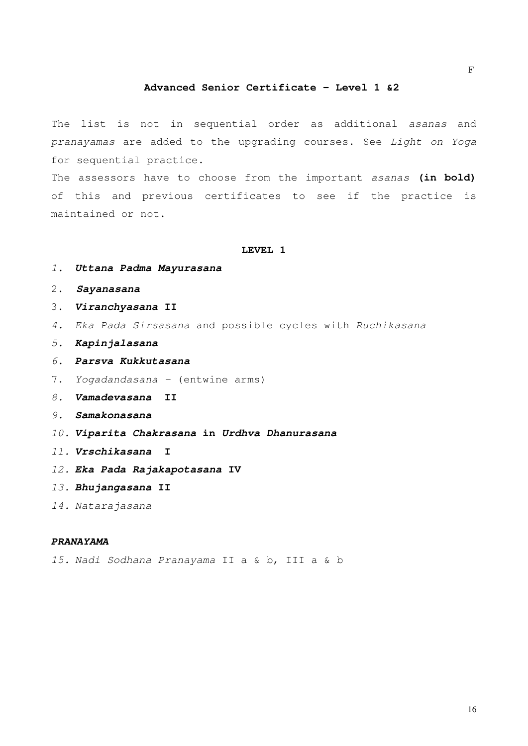## **Advanced Senior Certificate - Level 1 &2**

The list is not in sequential order as additional asanas and pranayamas are added to the upgrading courses. See Light on Yoga for sequential practice.

The assessors have to choose from the important asanas **(in bold)**  of this and previous certificates to see if the practice is maintained or not.

# **LEVEL 1**

- 1. **Uttana Padma Mayurasana**
- 2. **Sayanasana**
- 3. **Viranchyasana II**
- 4. Eka Pada Sirsasana and possible cycles with Ruchikasana
- 5. **Kapinjalasana**
- 6. **Parsva Kukkutasana**
- 7. Yogadandasana (entwine arms)
- 8. **Vamadevasana II**
- 9. **Samakonasana**
- 10. **Viparita Chakrasana in Urdhva Dhanurasana**
- 11. **Vrschikasana I**
- 12. **Eka Pada Rajakapotasana IV**
- 13. **Bhujangasana II**
- 14. Natarajasana

# **PRANAYAMA**

15. Nadi Sodhana Pranayama II a & b, III a & b

F